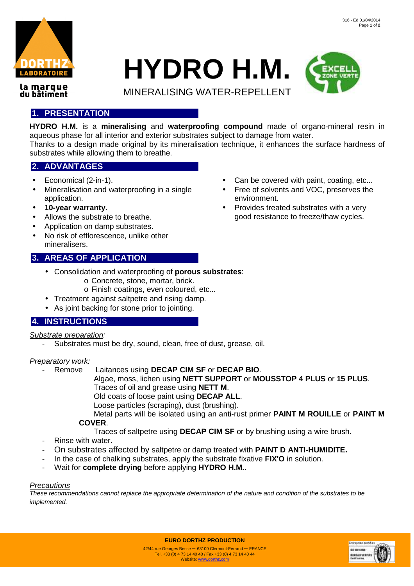

# **HYDRO H.M.**

MINERALISING WATER-REPELLENT



la marque du bâtiment

## **1. PRESENTATION**

**HYDRO H.M.** is a **mineralising** and **waterproofing compound** made of organo-mineral resin in aqueous phase for all interior and exterior substrates subject to damage from water.

Thanks to a design made original by its mineralisation technique, it enhances the surface hardness of substrates while allowing them to breathe.

## **2. ADVANTAGES**

- Economical (2-in-1).
- Mineralisation and waterproofing in a single application.
- **10-year warranty.**
- Allows the substrate to breathe.
- Application on damp substrates.
- No risk of efflorescence, unlike other mineralisers.

## **3. AREAS OF APPLICATION**

- Consolidation and waterproofing of **porous substrates**:
	- o Concrete, stone, mortar, brick.
	- o Finish coatings, even coloured, etc...
- Treatment against saltpetre and rising damp.
- As joint backing for stone prior to jointing.

## **4. INSTRUCTIONS**

Substrate preparation:

- Substrates must be dry, sound, clean, free of dust, grease, oil.

### Preparatory work:

- Remove Laitances using **DECAP CIM SF** or **DECAP BIO**.
	- Algae, moss, lichen using **NETT SUPPORT** or **MOUSSTOP 4 PLUS** or **15 PLUS**. Traces of oil and grease using **NETT M**.
	- Old coats of loose paint using **DECAP ALL**.
	- Loose particles (scraping), dust (brushing).
	- Metal parts will be isolated using an anti-rust primer **PAINT M ROUILLE** or **PAINT M COVER**.
		- Traces of saltpetre using **DECAP CIM SF** or by brushing using a wire brush.
- Rinse with water.
- On substrates affected by saltpetre or damp treated with **PAINT D ANTI-HUMIDITE.**
- In the case of chalking substrates, apply the substrate fixative **FIX'O** in solution.
- Wait for **complete drying** before applying **HYDRO H.M.**.

### **Precautions**

These recommendations cannot replace the appropriate determination of the nature and condition of the substrates to be implemented.



- Can be covered with paint, coating, etc...
- Free of solvents and VOC, preserves the environment.
- Provides treated substrates with a very good resistance to freeze/thaw cycles.